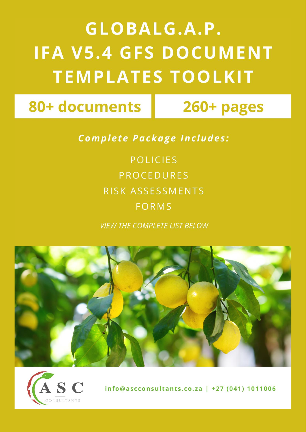## **GLOBALG.A.P. IFA V5.4 GFS DOCUMENT TEMPLATES TOOLKIT**

80+ documents

260+ pages

**Complete Package Includes:** 

**POLICIES PROCEDURES** RISK ASSESSMENTS **FORMS** 

**VIEW THE COMPLETE LIST BELOW** 





info@ascconsultants.co.za | +27 (041) 1011006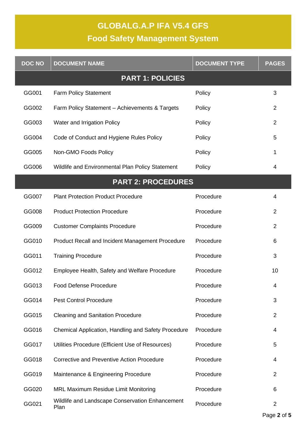## **GLOBALG.A.P IFA V5.4 GFS**

## **Food Safety Management System**

| <b>DOC NO</b>           | <b>DOCUMENT NAME</b>                                    | <b>DOCUMENT TYPE</b> | <b>PAGES</b>   |  |  |
|-------------------------|---------------------------------------------------------|----------------------|----------------|--|--|
| <b>PART 1: POLICIES</b> |                                                         |                      |                |  |  |
| GG001                   | <b>Farm Policy Statement</b>                            | Policy               | 3              |  |  |
| GG002                   | Farm Policy Statement - Achievements & Targets          | Policy               | $\overline{2}$ |  |  |
| GG003                   | Water and Irrigation Policy                             | Policy               | $\overline{2}$ |  |  |
| GG004                   | Code of Conduct and Hygiene Rules Policy                | Policy               | 5              |  |  |
| GG005                   | Non-GMO Foods Policy                                    | Policy               | 1              |  |  |
| GG006                   | Wildlife and Environmental Plan Policy Statement        | Policy               | 4              |  |  |
|                         | <b>PART 2: PROCEDURES</b>                               |                      |                |  |  |
| GG007                   | <b>Plant Protection Product Procedure</b>               | Procedure            | 4              |  |  |
| GG008                   | <b>Product Protection Procedure</b>                     | Procedure            | $\overline{2}$ |  |  |
| GG009                   | <b>Customer Complaints Procedure</b>                    | Procedure            | 2              |  |  |
| GG010                   | Product Recall and Incident Management Procedure        | Procedure            | 6              |  |  |
| GG011                   | <b>Training Procedure</b>                               | Procedure            | 3              |  |  |
| GG012                   | Employee Health, Safety and Welfare Procedure           | Procedure            | 10             |  |  |
| GG013                   | <b>Food Defense Procedure</b>                           | Procedure            | 4              |  |  |
| GG014                   | <b>Pest Control Procedure</b>                           | Procedure            | 3              |  |  |
| GG015                   | <b>Cleaning and Sanitation Procedure</b>                | Procedure            | 2              |  |  |
| GG016                   | Chemical Application, Handling and Safety Procedure     | Procedure            | 4              |  |  |
| GG017                   | Utilities Procedure (Efficient Use of Resources)        | Procedure            | 5              |  |  |
| GG018                   | <b>Corrective and Preventive Action Procedure</b>       | Procedure            | 4              |  |  |
| GG019                   | Maintenance & Engineering Procedure                     | Procedure            | 2              |  |  |
| GG020                   | MRL Maximum Residue Limit Monitoring                    | Procedure            | 6              |  |  |
| GG021                   | Wildlife and Landscape Conservation Enhancement<br>Plan | Procedure            | 2              |  |  |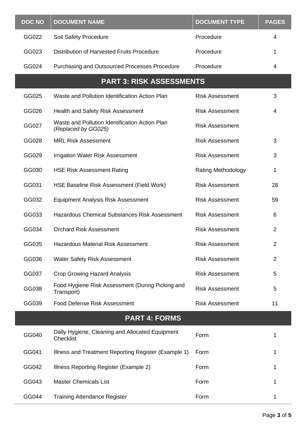| <b>DOC NO</b>        | <b>DOCUMENT NAME</b>                                                  | <b>DOCUMENT TYPE</b>      | <b>PAGES</b>   |  |  |
|----------------------|-----------------------------------------------------------------------|---------------------------|----------------|--|--|
| GG022                | Soil Safety Procedure                                                 | Procedure                 | 4              |  |  |
| GG023                | Distribution of Harvested Fruits Procedure                            | Procedure                 | 1              |  |  |
| GG024                | Purchasing and Outsourced Processes Procedure                         | Procedure                 | 4              |  |  |
|                      | <b>PART 3: RISK ASSESSMENTS</b>                                       |                           |                |  |  |
| GG025                | Waste and Pollution Identification Action Plan                        | <b>Risk Assessment</b>    | 3              |  |  |
| GG026                | <b>Health and Safety Risk Assessment</b>                              | <b>Risk Assessment</b>    | 4              |  |  |
| GG027                | Waste and Pollution Identification Action Plan<br>(Replaced by GG025) | <b>Risk Assessment</b>    |                |  |  |
| GG028                | <b>MRL Risk Assessment</b>                                            | <b>Risk Assessment</b>    | 3              |  |  |
| GG029                | <b>Irrigation Water Risk Assessment</b>                               | <b>Risk Assessment</b>    | 3              |  |  |
| GG030                | <b>HSE Risk Assessment Rating</b>                                     | <b>Rating Methodology</b> | 1              |  |  |
| GG031                | HSE Baseline Risk Assessment (Field Work)                             | <b>Risk Assessment</b>    | 28             |  |  |
| GG032                | <b>Equipment Analysis Risk Assessment</b>                             | <b>Risk Assessment</b>    | 59             |  |  |
| GG033                | <b>Hazardous Chemical Substances Risk Assessment</b>                  | <b>Risk Assessment</b>    | 6              |  |  |
| GG034                | <b>Orchard Risk Assessment</b>                                        | <b>Risk Assessment</b>    | $\overline{2}$ |  |  |
| GG035                | <b>Hazardous Material Risk Assessment</b>                             | <b>Risk Assessment</b>    | $\overline{2}$ |  |  |
| GG036                | <b>Water Safety Risk Assessment</b>                                   | <b>Risk Assessment</b>    | $\overline{2}$ |  |  |
| GG037                | <b>Crop Growing Hazard Analysis</b>                                   | <b>Risk Assessment</b>    | 5              |  |  |
| GG038                | Food Hygiene Risk Assessment (During Picking and<br>Transport)        | <b>Risk Assessment</b>    | 5              |  |  |
| GG039                | <b>Food Defense Risk Assessment</b>                                   | <b>Risk Assessment</b>    | 11             |  |  |
| <b>PART 4: FORMS</b> |                                                                       |                           |                |  |  |
| GG040                | Daily Hygiene, Cleaning and Allocated Equipment<br><b>Checklist</b>   | Form                      | 1              |  |  |
| GG041                | Illness and Treatment Reporting Register (Example 1)                  | Form                      | 1              |  |  |
| GG042                | Illness Reporting Register (Example 2)                                | Form                      | 1              |  |  |
| GG043                | <b>Master Chemicals List</b>                                          | Form                      | 1              |  |  |
| GG044                | <b>Training Attendance Register</b>                                   | Form                      |                |  |  |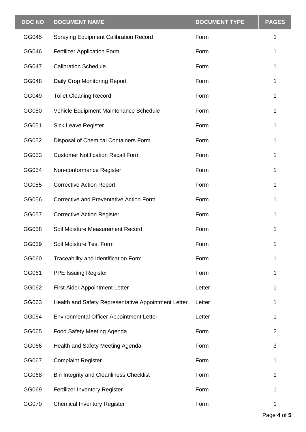| <b>DOC NO</b> | <b>DOCUMENT NAME</b>                                | <b>DOCUMENT TYPE</b> | <b>PAGES</b>   |
|---------------|-----------------------------------------------------|----------------------|----------------|
| GG045         | <b>Spraying Equipment Calibration Record</b>        | Form                 | 1              |
| GG046         | <b>Fertilizer Application Form</b>                  | Form                 | 1              |
| GG047         | <b>Calibration Schedule</b>                         | Form                 | 1              |
| GG048         | Daily Crop Monitoring Report                        | Form                 |                |
| GG049         | <b>Toilet Cleaning Record</b>                       | Form                 | 1              |
| GG050         | Vehicle Equipment Maintenance Schedule              | Form                 | 1              |
| GG051         | <b>Sick Leave Register</b>                          | Form                 | 1              |
| GG052         | Disposal of Chemical Containers Form                | Form                 |                |
| GG053         | <b>Customer Notification Recall Form</b>            | Form                 | 1              |
| GG054         | Non-conformance Register                            | Form                 | 1              |
| GG055         | <b>Corrective Action Report</b>                     | Form                 | 1              |
| GG056         | Corrective and Preventative Action Form             | Form                 | 1              |
| GG057         | <b>Corrective Action Register</b>                   | Form                 |                |
| GG058         | Soil Moisture Measurement Record                    | Form                 |                |
| GG059         | Soil Moisture Test Form                             | Form                 |                |
| GG060         | Traceability and Identification Form                | Form                 | 1              |
| GG061         | <b>PPE Issuing Register</b>                         | Form                 | 1              |
| GG062         | <b>First Aider Appointment Letter</b>               | Letter               |                |
| GG063         | Health and Safety Representative Appointment Letter | Letter               | 1              |
| GG064         | <b>Environmental Officer Appointment Letter</b>     | Letter               | 1              |
| GG065         | Food Safety Meeting Agenda                          | Form                 | $\overline{2}$ |
| GG066         | Health and Safety Meeting Agenda                    | Form                 | 3              |
| GG067         | <b>Complaint Register</b>                           | Form                 | 1              |
| GG068         | Bin Integrity and Cleanliness Checklist             | Form                 |                |
| GG069         | Fertilizer Inventory Register                       | Form                 |                |
| GG070         | <b>Chemical Inventory Register</b>                  | Form                 | 1              |